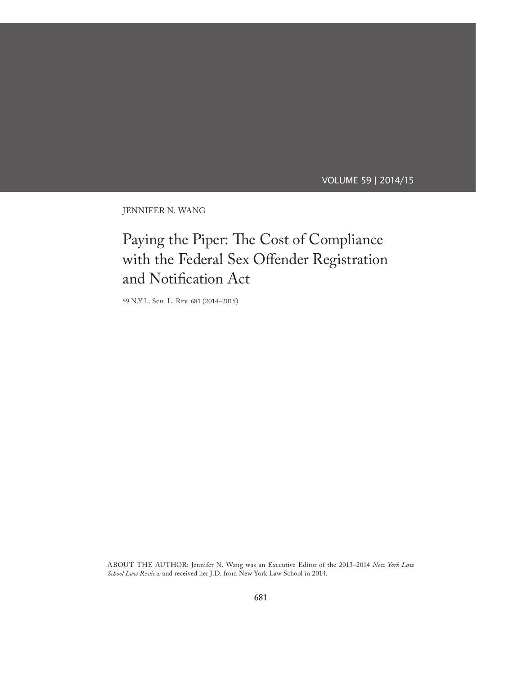VOLUME 59 | 2014/15

Jennifer N. Wang

# Paying the Piper: The Cost of Compliance with the Federal Sex Offender Registration and Notification Act

59 N.Y.L. Sch. L. Rev. 681 (2014–2015)

ABOUT THE AUTHOR: Jennifer N. Wang was an Executive Editor of the 2013–2014 *New York Law School Law Review* and received her J.D. from New York Law School in 2014.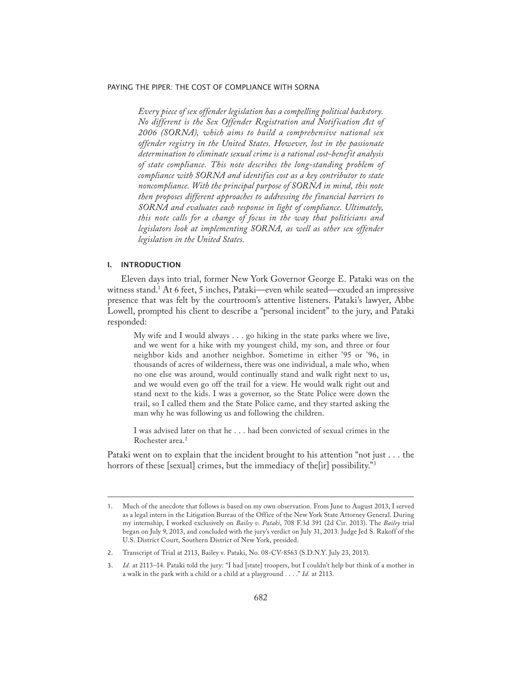*Every piece of sex offender legislation has a compelling political backstory. No different is the Sex Offender Registration and Notification Act of 2006 (SORNA), which aims to build a comprehensive national sex offender registry in the United States. However, lost in the passionate determination to eliminate sexual crime is a rational cost-benefit analysis of state compliance. This note describes the long-standing problem of compliance with SORNA and identifies cost as a key contributor to state noncompliance. With the principal purpose of SORNA in mind, this note then proposes different approaches to addressing the financial barriers to SORNA and evaluates each response in light of compliance. Ultimately, this note calls for a change of focus in the way that politicians and*  legislators look at implementing SORNA, as well as other sex offender *legislation in the United States.*

# I. INTRODUCTION

Eleven days into trial, former New York Governor George E. Pataki was on the witness stand.1 At 6 feet, 5 inches, Pataki—even while seated—exuded an impressive presence that was felt by the courtroom's attentive listeners. Pataki's lawyer, Abbe Lowell, prompted his client to describe a "personal incident" to the jury, and Pataki responded:

My wife and I would always . . . go hiking in the state parks where we live, and we went for a hike with my youngest child, my son, and three or four neighbor kids and another neighbor. Sometime in either '95 or '96, in thousands of acres of wilderness, there was one individual, a male who, when no one else was around, would continually stand and walk right next to us, and we would even go off the trail for a view. He would walk right out and stand next to the kids. I was a governor, so the State Police were down the trail, so I called them and the State Police came, and they started asking the man why he was following us and following the children.

I was advised later on that he . . . had been convicted of sexual crimes in the Rochester area.2

Pataki went on to explain that the incident brought to his attention "not just . . . the horrors of these [sexual] crimes, but the immediacy of the<sup>[ir]</sup> possibility."<sup>3</sup>

<sup>1.</sup> Much of the anecdote that follows is based on my own observation. From June to August 2013, I served as a legal intern in the Litigation Bureau of the Office of the New York State Attorney General. During my internship, I worked exclusively on *Bailey v. Pataki*, 708 F.3d 391 (2d Cir. 2013). The *Bailey* trial began on July 9, 2013, and concluded with the jury's verdict on July 31, 2013. Judge Jed S. Rakoff of the U.S. District Court, Southern District of New York, presided.

<sup>2.</sup> Transcript of Trial at 2113, Bailey v. Pataki, No. 08-CV-8563 (S.D.N.Y. July 23, 2013).

<sup>3.</sup> *Id.* at 2113–14. Pataki told the jury: "I had [state] troopers, but I couldn't help but think of a mother in a walk in the park with a child or a child at a playground . . . ." *Id.* at 2113.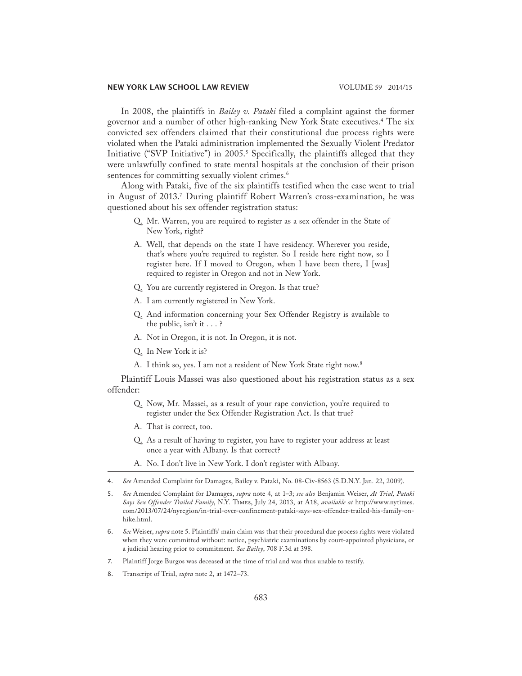In 2008, the plaintiffs in *Bailey v. Pataki* filed a complaint against the former governor and a number of other high-ranking New York State executives.4 The six convicted sex offenders claimed that their constitutional due process rights were violated when the Pataki administration implemented the Sexually Violent Predator Initiative ("SVP Initiative") in 2005.5 Specifically, the plaintiffs alleged that they were unlawfully confined to state mental hospitals at the conclusion of their prison sentences for committing sexually violent crimes.<sup>6</sup>

Along with Pataki, five of the six plaintiffs testified when the case went to trial in August of 2013.7 During plaintiff Robert Warren's cross-examination, he was questioned about his sex offender registration status:

- Q. Mr. Warren, you are required to register as a sex offender in the State of New York, right?
- A. Well, that depends on the state I have residency. Wherever you reside, that's where you're required to register. So I reside here right now, so I register here. If I moved to Oregon, when I have been there, I [was] required to register in Oregon and not in New York.
- Q. You are currently registered in Oregon. Is that true?
- A. I am currently registered in New York.
- Q. And information concerning your Sex Offender Registry is available to the public, isn't it . . . ?
- A. Not in Oregon, it is not. In Oregon, it is not.
- Q. In New York it is?
- A. I think so, yes. I am not a resident of New York State right now.<sup>8</sup>

Plaintiff Louis Massei was also questioned about his registration status as a sex offender:

- Q. Now, Mr. Massei, as a result of your rape conviction, you're required to register under the Sex Offender Registration Act. Is that true?
- A. That is correct, too.
- Q. As a result of having to register, you have to register your address at least once a year with Albany. Is that correct?
- A. No. I don't live in New York. I don't register with Albany.
- 4. *See* Amended Complaint for Damages, Bailey v. Pataki, No. 08-Civ-8563 (S.D.N.Y. Jan. 22, 2009).
- 5. *See* Amended Complaint for Damages, *supra* note 4, at 1–3; *see also* Benjamin Weiser, *At Trial, Pataki Says Sex Offender Trailed Family*, N.Y. Times, July 24, 2013, at A18, *available at* http://www.nytimes. com/2013/07/24/nyregion/in-trial-over-confinement-pataki-says-sex-offender-trailed-his-family-onhike.html.
- 6. *See* Weiser, *supra* note 5. Plaintiffs' main claim was that their procedural due process rights were violated when they were committed without: notice, psychiatric examinations by court-appointed physicians, or a judicial hearing prior to commitment. *See Bailey*, 708 F.3d at 398.
- 7. Plaintiff Jorge Burgos was deceased at the time of trial and was thus unable to testify.
- 8. Transcript of Trial, *supra* note 2, at 1472–73.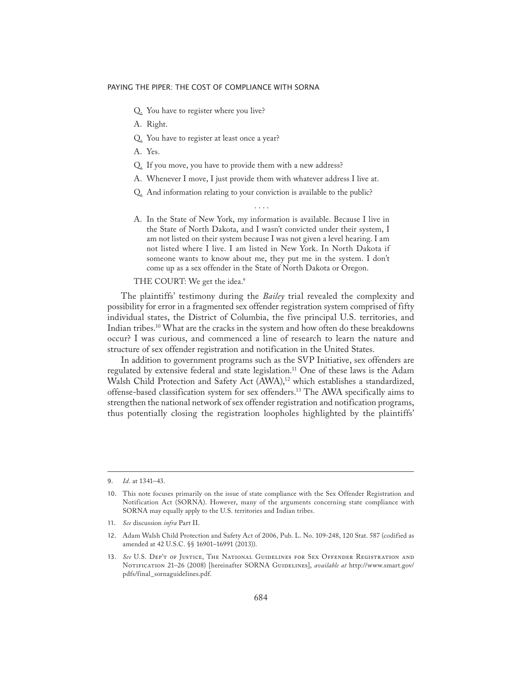- Q. You have to register where you live?
- A. Right.
- Q. You have to register at least once a year?
- A. Yes.
- Q. If you move, you have to provide them with a new address?
- A. Whenever I move, I just provide them with whatever address I live at.
- Q. And information relating to your conviction is available to the public?
- A. In the State of New York, my information is available. Because I live in the State of North Dakota, and I wasn't convicted under their system, I am not listed on their system because I was not given a level hearing. I am not listed where I live. I am listed in New York. In North Dakota if someone wants to know about me, they put me in the system. I don't come up as a sex offender in the State of North Dakota or Oregon.

. . . .

# THE COURT: We get the idea.9

The plaintiffs' testimony during the *Bailey* trial revealed the complexity and possibility for error in a fragmented sex offender registration system comprised of fifty individual states, the District of Columbia, the five principal U.S. territories, and Indian tribes.10 What are the cracks in the system and how often do these breakdowns occur? I was curious, and commenced a line of research to learn the nature and structure of sex offender registration and notification in the United States.

In addition to government programs such as the SVP Initiative, sex offenders are regulated by extensive federal and state legislation.<sup>11</sup> One of these laws is the Adam Walsh Child Protection and Safety Act (AWA),<sup>12</sup> which establishes a standardized, offense-based classification system for sex offenders.13 The AWA specifically aims to strengthen the national network of sex offender registration and notification programs, thus potentially closing the registration loopholes highlighted by the plaintiffs'

11. *See* discussion *infra* Part II.

<sup>9.</sup> *Id.* at 1341–43.

<sup>10.</sup> This note focuses primarily on the issue of state compliance with the Sex Offender Registration and Notification Act (SORNA). However, many of the arguments concerning state compliance with SORNA may equally apply to the U.S. territories and Indian tribes.

<sup>12.</sup> Adam Walsh Child Protection and Safety Act of 2006, Pub. L. No. 109-248, 120 Stat. 587 (codified as amended at 42 U.S.C. §§ 16901–16991 (2013)).

<sup>13.</sup> *See* U.S. Dep't of Justice, The National Guidelines for Sex Offender Registration and NOTIFICATION 21-26 (2008) [hereinafter SORNA GUIDELINES], *available at* http://www.smart.gov/ pdfs/final\_sornaguidelines.pdf.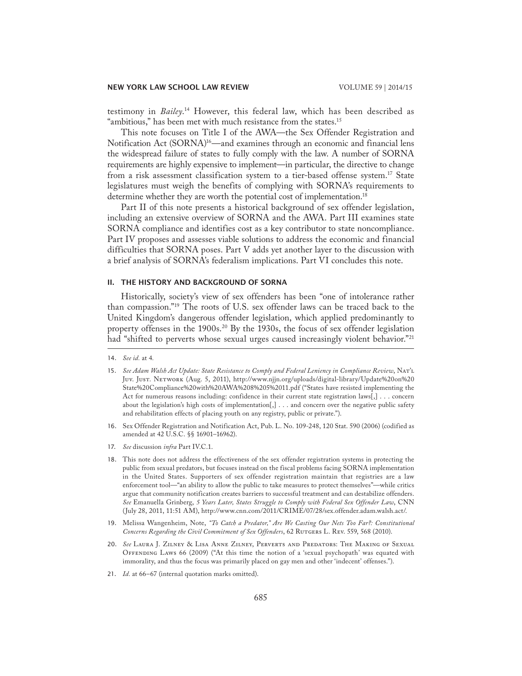testimony in *Bailey*. 14 However, this federal law, which has been described as "ambitious," has been met with much resistance from the states.<sup>15</sup>

This note focuses on Title I of the AWA—the Sex Offender Registration and Notification Act (SORNA)<sup>16</sup>—and examines through an economic and financial lens the widespread failure of states to fully comply with the law. A number of SORNA requirements are highly expensive to implement—in particular, the directive to change from a risk assessment classification system to a tier-based offense system.<sup>17</sup> State legislatures must weigh the benefits of complying with SORNA's requirements to determine whether they are worth the potential cost of implementation.<sup>18</sup>

Part II of this note presents a historical background of sex offender legislation, including an extensive overview of SORNA and the AWA. Part III examines state SORNA compliance and identifies cost as a key contributor to state noncompliance. Part IV proposes and assesses viable solutions to address the economic and financial difficulties that SORNA poses. Part V adds yet another layer to the discussion with a brief analysis of SORNA's federalism implications. Part VI concludes this note.

# II. THE HISTORY AND BACKGROUND OF SORNA

Historically, society's view of sex offenders has been "one of intolerance rather than compassion."19 The roots of U.S. sex offender laws can be traced back to the United Kingdom's dangerous offender legislation, which applied predominantly to property offenses in the 1900s.<sup>20</sup> By the 1930s, the focus of sex offender legislation had "shifted to perverts whose sexual urges caused increasingly violent behavior."21

- 16. Sex Offender Registration and Notification Act, Pub. L. No. 109-248, 120 Stat. 590 (2006) (codified as amended at 42 U.S.C. §§ 16901–16962).
- 17. *See* discussion *infra* Part IV.C.1.
- 18. This note does not address the effectiveness of the sex offender registration systems in protecting the public from sexual predators, but focuses instead on the fiscal problems facing SORNA implementation in the United States. Supporters of sex offender registration maintain that registries are a law enforcement tool—"an ability to allow the public to take measures to protect themselves"—while critics argue that community notification creates barriers to successful treatment and can destabilize offenders. *See* Emanuella Grinberg, *5 Years Later, States Struggle to Comply with Federal Sex Offender Law*, CNN (July 28, 2011, 11:51 AM), http://www.cnn.com/2011/CRIME/07/28/sex.offender.adam.walsh.act/.
- 19. Melissa Wangenheim, Note, *"To Catch a Predator," Are We Casting Our Nets Too Far?: Constitutional*  Concerns Regarding the Civil Commitment of Sex Offenders, 62 RUTGERS L. REV. 559, 568 (2010).
- 20. *See* Laura J. Zilney & Lisa Anne Zilney, Perverts and Predators: The Making of Sexual Offending Laws 66 (2009) ("At this time the notion of a 'sexual psychopath' was equated with immorality, and thus the focus was primarily placed on gay men and other 'indecent' offenses.").
- 21. *Id.* at 66–67 (internal quotation marks omitted).

<sup>14.</sup> *See id.* at 4*.* 

<sup>15.</sup> *See Adam Walsh Act Update: State Resistance to Comply and Federal Leniency in Compliance Review*, Nat'l Juv. Just. Network (Aug. 5, 2011), http://www.njjn.org/uploads/digital-library/Update%20on%20 State%20Compliance%20with%20AWA%208%205%2011.pdf ("States have resisted implementing the Act for numerous reasons including: confidence in their current state registration laws[,] . . . concern about the legislation's high costs of implementation[,] . . . and concern over the negative public safety and rehabilitation effects of placing youth on any registry, public or private.").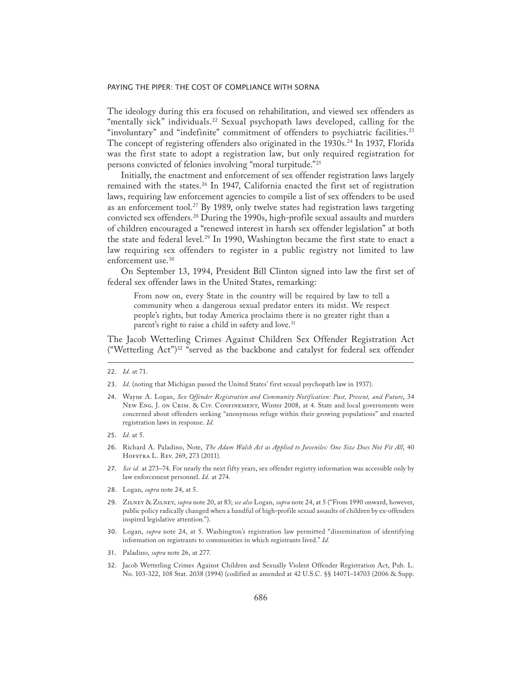The ideology during this era focused on rehabilitation, and viewed sex offenders as "mentally sick" individuals.<sup>22</sup> Sexual psychopath laws developed, calling for the "involuntary" and "indefinite" commitment of offenders to psychiatric facilities.23 The concept of registering offenders also originated in the 1930s.<sup>24</sup> In 1937, Florida was the first state to adopt a registration law, but only required registration for persons convicted of felonies involving "moral turpitude."25

Initially, the enactment and enforcement of sex offender registration laws largely remained with the states.<sup>26</sup> In 1947, California enacted the first set of registration laws, requiring law enforcement agencies to compile a list of sex offenders to be used as an enforcement tool.<sup>27</sup> By 1989, only twelve states had registration laws targeting convicted sex offenders.28 During the 1990s, high-profile sexual assaults and murders of children encouraged a "renewed interest in harsh sex offender legislation" at both the state and federal level.<sup>29</sup> In 1990, Washington became the first state to enact a law requiring sex offenders to register in a public registry not limited to law enforcement use.<sup>30</sup>

On September 13, 1994, President Bill Clinton signed into law the first set of federal sex offender laws in the United States, remarking:

From now on, every State in the country will be required by law to tell a community when a dangerous sexual predator enters its midst. We respect people's rights, but today America proclaims there is no greater right than a parent's right to raise a child in safety and love.<sup>31</sup>

The Jacob Wetterling Crimes Against Children Sex Offender Registration Act ("Wetterling Act")32 "served as the backbone and catalyst for federal sex offender

- 27. *See id.* at 273–74. For nearly the next fifty years, sex offender registry information was accessible only by law enforcement personnel. *Id.* at 274.
- 28. Logan, *supra* note 24, at 5.
- 29. Zilney & Zilney, *supra* note 20, at 83; *see also* Logan, *supra* note 24, at 5 ("From 1990 onward, however, public policy radically changed when a handful of high-profile sexual assaults of children by ex-offenders inspired legislative attention.").
- 30. Logan, *supra* note 24, at 5. Washington's registration law permitted "dissemination of identifying information on registrants to communities in which registrants lived." *Id.*
- 31. Paladino, *supra* note 26, at 277.
- 32. Jacob Wetterling Crimes Against Children and Sexually Violent Offender Registration Act, Pub. L. No. 103-322, 108 Stat. 2038 (1994) (codified as amended at 42 U.S.C. §§ 14071–14703 (2006 & Supp.

<sup>22.</sup> *Id.* at 71.

<sup>23.</sup> *Id.* (noting that Michigan passed the United States' first sexual psychopath law in 1937).

<sup>24.</sup> Wayne A. Logan, *Sex Offender Registration and Community Notification: Past, Present, and Future*, 34 New Eng. J. on Crim. & Civ. Confinement, Winter 2008, at 4. State and local governments were concerned about offenders seeking "anonymous refuge within their growing populations" and enacted registration laws in response. *Id.*

<sup>25.</sup> *Id.* at 5.

<sup>26.</sup> Richard A. Paladino, Note, *The Adam Walsh Act as Applied to Juveniles: One Size Does Not Fit All*, 40 HOFSTRA L. REV. 269, 273 (2011).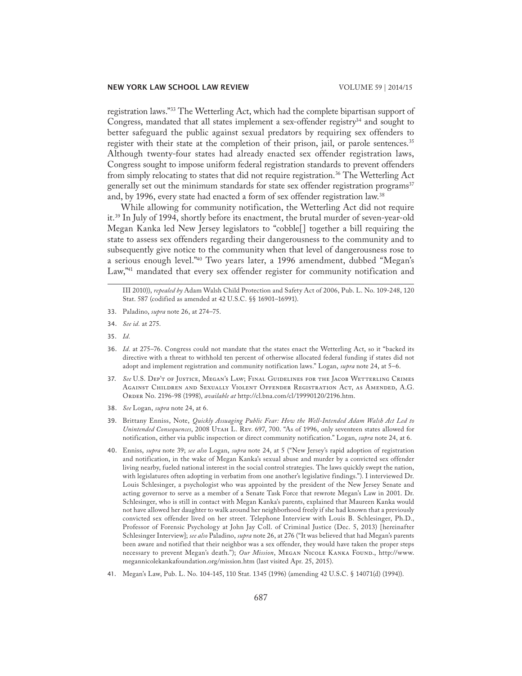registration laws."33 The Wetterling Act, which had the complete bipartisan support of Congress, mandated that all states implement a sex-offender registry<sup>34</sup> and sought to better safeguard the public against sexual predators by requiring sex offenders to register with their state at the completion of their prison, jail, or parole sentences.<sup>35</sup> Although twenty-four states had already enacted sex offender registration laws, Congress sought to impose uniform federal registration standards to prevent offenders from simply relocating to states that did not require registration.<sup>36</sup> The Wetterling Act generally set out the minimum standards for state sex offender registration programs<sup>37</sup> and, by 1996, every state had enacted a form of sex offender registration law.<sup>38</sup>

While allowing for community notification, the Wetterling Act did not require it.39 In July of 1994, shortly before its enactment, the brutal murder of seven-year-old Megan Kanka led New Jersey legislators to "cobble[] together a bill requiring the state to assess sex offenders regarding their dangerousness to the community and to subsequently give notice to the community when that level of dangerousness rose to a serious enough level."40 Two years later, a 1996 amendment, dubbed "Megan's Law,<sup>"41</sup> mandated that every sex offender register for community notification and

- 34. *See id.* at 275.
- 35. *Id.*
- 36. *Id.* at 275–76. Congress could not mandate that the states enact the Wetterling Act, so it "backed its directive with a threat to withhold ten percent of otherwise allocated federal funding if states did not adopt and implement registration and community notification laws." Logan, *supra* note 24, at 5–6.
- 37. *See* U.S. Dep't of Justice, Megan's Law; Final Guidelines for the Jacob Wetterling Crimes Against Children and Sexually Violent Offender Registration Act, as Amended, A.G. Order No. 2196-98 (1998), *available at* http://cl.bna.com/cl/19990120/2196.htm.
- 38. *See* Logan, *supra* note 24, at 6.
- 39. Brittany Enniss, Note, *Quickly Assuaging Public Fear: How the Well-Intended Adam Walsh Act Led to Unintended Consequences*, 2008 Utah L. Rev. 697, 700. "As of 1996, only seventeen states allowed for notification, either via public inspection or direct community notification." Logan, *supra* note 24, at 6.
- 40. Enniss, *supra* note 39; *see also* Logan, *supra* note 24, at 5 ("New Jersey's rapid adoption of registration and notification, in the wake of Megan Kanka's sexual abuse and murder by a convicted sex offender living nearby, fueled national interest in the social control strategies. The laws quickly swept the nation, with legislatures often adopting in verbatim from one another's legislative findings."). I interviewed Dr. Louis Schlesinger, a psychologist who was appointed by the president of the New Jersey Senate and acting governor to serve as a member of a Senate Task Force that rewrote Megan's Law in 2001. Dr. Schlesinger, who is still in contact with Megan Kanka's parents, explained that Maureen Kanka would not have allowed her daughter to walk around her neighborhood freely if she had known that a previously convicted sex offender lived on her street. Telephone Interview with Louis B. Schlesinger, Ph.D., Professor of Forensic Psychology at John Jay Coll. of Criminal Justice (Dec. 5, 2013) [hereinafter Schlesinger Interview]; *see also* Paladino, *supra* note 26, at 276 ("It was believed that had Megan's parents been aware and notified that their neighbor was a sex offender, they would have taken the proper steps necessary to prevent Megan's death."); *Our Mission*, Megan Nicole Kanka Found., http://www. megannicolekankafoundation.org/mission.htm (last visited Apr. 25, 2015).
- 41. Megan's Law, Pub. L. No. 104-145, 110 Stat. 1345 (1996) (amending 42 U.S.C. § 14071(d) (1994)).

III 2010)), *repealed by* Adam Walsh Child Protection and Safety Act of 2006, Pub. L. No. 109-248, 120 Stat. 587 (codified as amended at 42 U.S.C. §§ 16901–16991).

<sup>33.</sup> Paladino, *supra* note 26, at 274–75.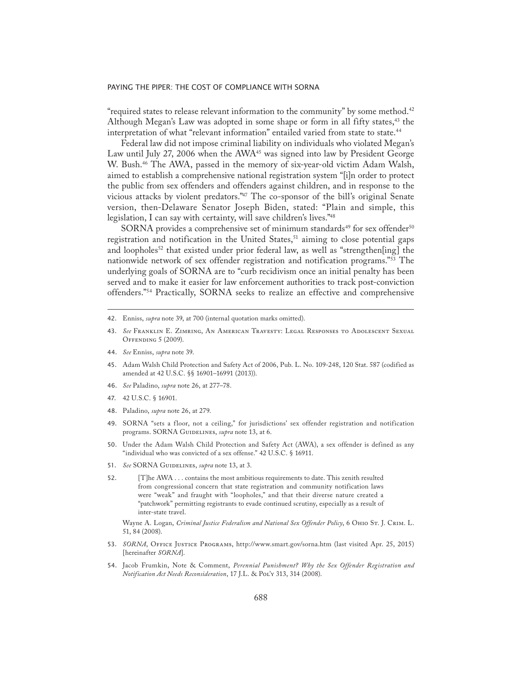"required states to release relevant information to the community" by some method.<sup>42</sup> Although Megan's Law was adopted in some shape or form in all fifty states,<sup>43</sup> the interpretation of what "relevant information" entailed varied from state to state.<sup>44</sup>

Federal law did not impose criminal liability on individuals who violated Megan's Law until July 27, 2006 when the AWA<sup>45</sup> was signed into law by President George W. Bush.46 The AWA, passed in the memory of six-year-old victim Adam Walsh, aimed to establish a comprehensive national registration system "[i]n order to protect the public from sex offenders and offenders against children, and in response to the vicious attacks by violent predators."47 The co-sponsor of the bill's original Senate version, then-Delaware Senator Joseph Biden, stated: "Plain and simple, this legislation, I can say with certainty, will save children's lives."48

SORNA provides a comprehensive set of minimum standards<sup>49</sup> for sex offender<sup>50</sup> registration and notification in the United States,<sup>51</sup> aiming to close potential gaps and loopholes<sup>52</sup> that existed under prior federal law, as well as "strengthen[ing] the nationwide network of sex offender registration and notification programs."53 The underlying goals of SORNA are to "curb recidivism once an initial penalty has been served and to make it easier for law enforcement authorities to track post-conviction offenders."54 Practically, SORNA seeks to realize an effective and comprehensive

- 42. Enniss, *supra* note 39, at 700 (internal quotation marks omitted).
- 43. *See* Franklin E. Zimring, An American Travesty: Legal Responses to Adolescent Sexual Offending 5 (2009).
- 44. *See* Enniss, *supra* note 39.
- 45. Adam Walsh Child Protection and Safety Act of 2006, Pub. L. No. 109-248, 120 Stat. 587 (codified as amended at 42 U.S.C. §§ 16901–16991 (2013)).
- 46. *See* Paladino, *supra* note 26, at 277–78.
- 47. 42 U.S.C. § 16901.
- 48. Paladino, *supra* note 26, at 279.
- 49. SORNA "sets a floor, not a ceiling," for jurisdictions' sex offender registration and notification programs. SORNA GUIDELINES, *supra* note 13, at 6.
- 50. Under the Adam Walsh Child Protection and Safety Act (AWA), a sex offender is defined as any "individual who was convicted of a sex offense." 42 U.S.C. § 16911.
- 51. *See* SORNA GUIDELINES, *supra* note 13, at 3.
- 52. [T]he AWA . . . contains the most ambitious requirements to date. This zenith resulted from congressional concern that state registration and community notification laws were "weak" and fraught with "loopholes," and that their diverse nature created a "patchwork" permitting registrants to evade continued scrutiny, especially as a result of inter-state travel.

Wayne A. Logan, *Criminal Justice Federalism and National Sex Offender Policy*, 6 Ohio St. J. Crim. L. 51, 84 (2008).

- 53. *SORNA*, Office Justice Programs, http://www.smart.gov/sorna.htm (last visited Apr. 25, 2015) [hereinafter *SORNA*].
- 54. Jacob Frumkin, Note & Comment, *Perennial Punishment? Why the Sex Offender Registration and Notification Act Needs Reconsideration*, 17 J.L. & Pol'y 313, 314 (2008).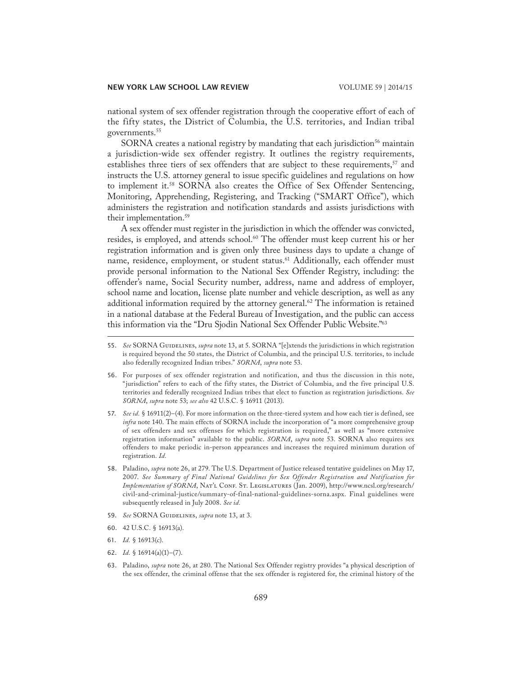national system of sex offender registration through the cooperative effort of each of the fifty states, the District of Columbia, the U.S. territories, and Indian tribal governments.<sup>55</sup>

SORNA creates a national registry by mandating that each jurisdiction<sup>56</sup> maintain a jurisdiction-wide sex offender registry. It outlines the registry requirements, establishes three tiers of sex offenders that are subject to these requirements, $57$  and instructs the U.S. attorney general to issue specific guidelines and regulations on how to implement it.58 SORNA also creates the Office of Sex Offender Sentencing, Monitoring, Apprehending, Registering, and Tracking ("SMART Office"), which administers the registration and notification standards and assists jurisdictions with their implementation.59

A sex offender must register in the jurisdiction in which the offender was convicted, resides, is employed, and attends school.<sup>60</sup> The offender must keep current his or her registration information and is given only three business days to update a change of name, residence, employment, or student status.<sup>61</sup> Additionally, each offender must provide personal information to the National Sex Offender Registry, including: the offender's name, Social Security number, address, name and address of employer, school name and location, license plate number and vehicle description, as well as any additional information required by the attorney general. $62$  The information is retained in a national database at the Federal Bureau of Investigation, and the public can access this information via the "Dru Sjodin National Sex Offender Public Website."63

- 55. See SORNA GUIDELINES, *supra* note 13, at 5. SORNA "[e]xtends the jurisdictions in which registration is required beyond the 50 states, the District of Columbia, and the principal U.S. territories, to include also federally recognized Indian tribes." *SORNA*, *supra* note 53.
- 56. For purposes of sex offender registration and notification, and thus the discussion in this note, "jurisdiction" refers to each of the fifty states, the District of Columbia, and the five principal U.S. territories and federally recognized Indian tribes that elect to function as registration jurisdictions. *See SORNA*, *supra* note 53; *see also* 42 U.S.C. § 16911 (2013).
- 57. *See id.* § 16911(2)–(4). For more information on the three-tiered system and how each tier is defined, see *infra* note 140. The main effects of SORNA include the incorporation of "a more comprehensive group of sex offenders and sex offenses for which registration is required," as well as "more extensive registration information" available to the public. *SORNA*, *supra* note 53. SORNA also requires sex offenders to make periodic in-person appearances and increases the required minimum duration of registration. *Id.*
- 58. Paladino, *supra* note 26, at 279. The U.S. Department of Justice released tentative guidelines on May 17, 2007. *See Summary of Final National Guidelines for Sex Offender Registration and Notification for Implementation of SORNA*, NAT'L CONF. ST. LEGISLATURES (Jan. 2009), http://www.ncsl.org/research/ civil-and-criminal-justice/summary-of-final-national-guidelines-sorna.aspx. Final guidelines were subsequently released in July 2008. *See id.*
- 59. *See* SORNA GUIDELINES, *supra* note 13, at 3.
- 60. 42 U.S.C. § 16913(a).
- 61. *Id.* § 16913(c).
- 62. *Id.* § 16914(a)(1)–(7).
- 63. Paladino, *supra* note 26, at 280. The National Sex Offender registry provides "a physical description of the sex offender, the criminal offense that the sex offender is registered for, the criminal history of the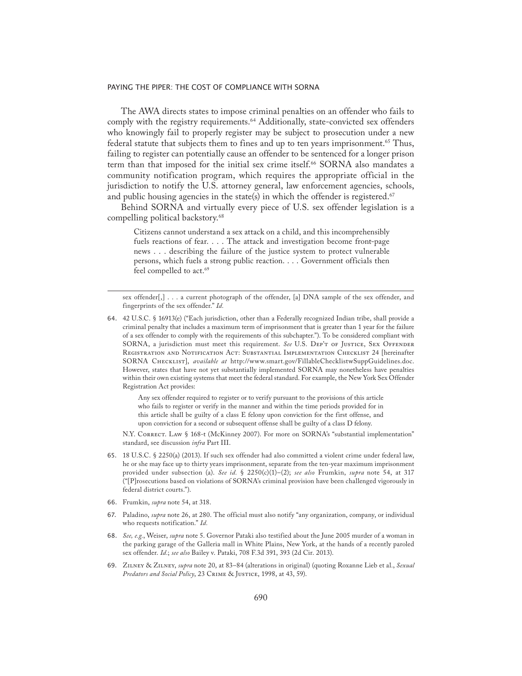The AWA directs states to impose criminal penalties on an offender who fails to comply with the registry requirements.<sup>64</sup> Additionally, state-convicted sex offenders who knowingly fail to properly register may be subject to prosecution under a new federal statute that subjects them to fines and up to ten years imprisonment.<sup>65</sup> Thus, failing to register can potentially cause an offender to be sentenced for a longer prison term than that imposed for the initial sex crime itself.<sup>66</sup> SORNA also mandates a community notification program, which requires the appropriate official in the jurisdiction to notify the U.S. attorney general, law enforcement agencies, schools, and public housing agencies in the state(s) in which the offender is registered. $67$ 

Behind SORNA and virtually every piece of U.S. sex offender legislation is a compelling political backstory.<sup>68</sup>

Citizens cannot understand a sex attack on a child, and this incomprehensibly fuels reactions of fear. . . . The attack and investigation become front-page news . . . describing the failure of the justice system to protect vulnerable persons, which fuels a strong public reaction. . . . Government officials then feel compelled to act.<sup>69</sup>

sex offender $[, ] \ldots$  a current photograph of the offender, [a] DNA sample of the sex offender, and fingerprints of the sex offender." *Id.*

64. 42 U.S.C. § 16913(e) ("Each jurisdiction, other than a Federally recognized Indian tribe, shall provide a criminal penalty that includes a maximum term of imprisonment that is greater than 1 year for the failure of a sex offender to comply with the requirements of this subchapter."). To be considered compliant with SORNA, a jurisdiction must meet this requirement. See U.S. DEP'T OF JUSTICE, SEX OFFENDER Registration and Notification Act: Substantial Implementation Checklist 24 [hereinafter SORNA CHECKLIST], *available at* http://www.smart.gov/FillableChecklistwSuppGuidelines.doc. However, states that have not yet substantially implemented SORNA may nonetheless have penalties within their own existing systems that meet the federal standard. For example, the New York Sex Offender Registration Act provides:

Any sex offender required to register or to verify pursuant to the provisions of this article who fails to register or verify in the manner and within the time periods provided for in this article shall be guilty of a class E felony upon conviction for the first offense, and upon conviction for a second or subsequent offense shall be guilty of a class D felony.

N.Y. CORRECT. LAW § 168-t (McKinney 2007). For more on SORNA's "substantial implementation" standard, see discussion *infra* Part III.

- 65. 18 U.S.C. § 2250(a) (2013). If such sex offender had also committed a violent crime under federal law, he or she may face up to thirty years imprisonment, separate from the ten-year maximum imprisonment provided under subsection (a). *See id.* § 2250(c)(1)–(2); *see also* Frumkin, *supra* note 54, at 317 ("[P]rosecutions based on violations of SORNA's criminal provision have been challenged vigorously in federal district courts.").
- 66. Frumkin, *supra* note 54, at 318.
- 67. Paladino, *supra* note 26, at 280. The official must also notify "any organization, company, or individual who requests notification." *Id.*
- 68. *See, e.g.*, Weiser, *supra* note 5. Governor Pataki also testified about the June 2005 murder of a woman in the parking garage of the Galleria mall in White Plains, New York, at the hands of a recently paroled sex offender. *Id.*; *see also* Bailey v. Pataki, 708 F.3d 391, 393 (2d Cir. 2013).
- 69. Zilney & Zilney, *supra* note 20, at 83–84 (alterations in original) (quoting Roxanne Lieb et al*.*, *Sexual*  Predators and Social Policy, 23 CRIME & JUSTICE, 1998, at 43, 59).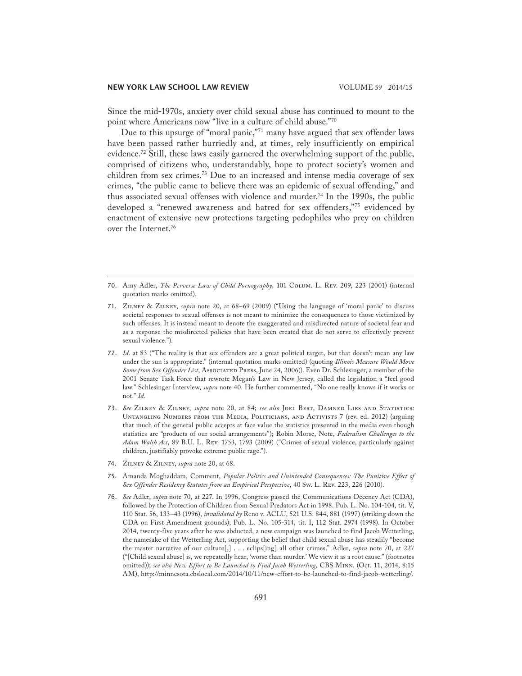Since the mid-1970s, anxiety over child sexual abuse has continued to mount to the point where Americans now "live in a culture of child abuse."70

Due to this upsurge of "moral panic,"71 many have argued that sex offender laws have been passed rather hurriedly and, at times, rely insufficiently on empirical evidence.72 Still, these laws easily garnered the overwhelming support of the public, comprised of citizens who, understandably, hope to protect society's women and children from sex crimes.73 Due to an increased and intense media coverage of sex crimes, "the public came to believe there was an epidemic of sexual offending," and thus associated sexual offenses with violence and murder.<sup>74</sup> In the 1990s, the public developed a "renewed awareness and hatred for sex offenders,"75 evidenced by enactment of extensive new protections targeting pedophiles who prey on children over the Internet.76

- 71. Zilney & Zilney, *supra* note 20, at 68–69 (2009) ("Using the language of 'moral panic' to discuss societal responses to sexual offenses is not meant to minimize the consequences to those victimized by such offenses. It is instead meant to denote the exaggerated and misdirected nature of societal fear and as a response the misdirected policies that have been created that do not serve to effectively prevent sexual violence.").
- 72. *Id.* at 83 ("The reality is that sex offenders are a great political target, but that doesn't mean any law under the sun is appropriate." (internal quotation marks omitted) (quoting *Illinois Measure Would Move Some from Sex Offender List*, Associated Press, June 24, 2006)). Even Dr. Schlesinger, a member of the 2001 Senate Task Force that rewrote Megan's Law in New Jersey, called the legislation a "feel good law." Schlesinger Interview, *supra* note 40. He further commented, "No one really knows if it works or not." *Id.*
- 73. *See* Zilney & Zilney, *supra* note 20, at 84; *see also* Joel Best, Damned Lies and Statistics: Untangling Numbers from the Media, Politicians, and Activists 7 (rev. ed. 2012) (arguing that much of the general public accepts at face value the statistics presented in the media even though statistics are "products of our social arrangements"); Robin Morse, Note, *Federalism Challenges to the Adam Walsh Act*, 89 B.U. L. Rev. 1753, 1793 (2009) ("Crimes of sexual violence, particularly against children, justifiably provoke extreme public rage.").
- 74. Zilney & Zilney, *supra* note 20, at 68.
- 75. Amanda Moghaddam, Comment, *Popular Politics and Unintended Consequences: The Punitive Effect of Sex Offender Residency Statutes from an Empirical Perspective*, 40 Sw. L. Rev. 223, 226 (2010).
- 76. *See* Adler, *supra* note 70, at 227. In 1996, Congress passed the Communications Decency Act (CDA), followed by the Protection of Children from Sexual Predators Act in 1998. Pub. L. No. 104-104, tit. V, 110 Stat. 56, 133–43 (1996), *invalidated by* Reno v. ACLU, 521 U.S. 844, 881 (1997) (striking down the CDA on First Amendment grounds); Pub. L. No. 105-314, tit. I, 112 Stat. 2974 (1998). In October 2014, twenty-five years after he was abducted, a new campaign was launched to find Jacob Wetterling, the namesake of the Wetterling Act, supporting the belief that child sexual abuse has steadily "become the master narrative of our culture[,] . . . eclips[ing] all other crimes." Adler, *supra* note 70, at 227 ("[Child sexual abuse] is, we repeatedly hear, 'worse than murder.' We view it as a root cause." (footnotes omitted)); *see also New Effort to Be Launched to Find Jacob Wetterling*, CBS Minn. (Oct. 11, 2014, 8:15 AM), http://minnesota.cbslocal.com/2014/10/11/new-effort-to-be-launched-to-find-jacob-wetterling/.

<sup>70.</sup> Amy Adler, *The Perverse Law of Child Pornography*, 101 Colum. L. Rev. 209, 223 (2001) (internal quotation marks omitted).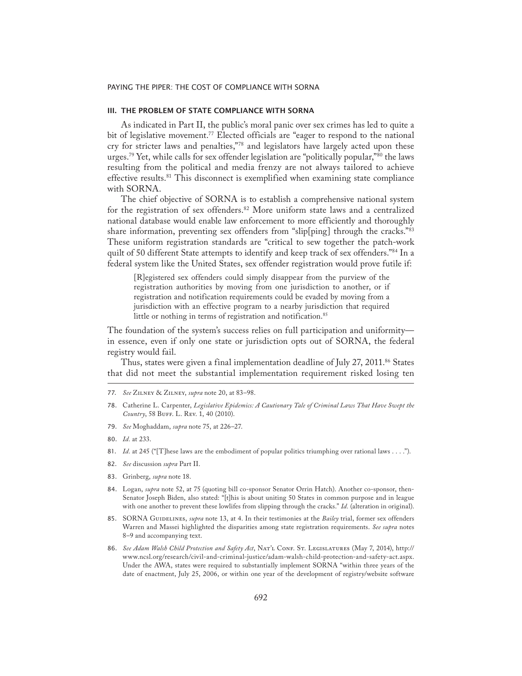# III. THE PROBLEM OF STATE COMPLIANCE WITH SORNA

As indicated in Part II, the public's moral panic over sex crimes has led to quite a bit of legislative movement.<sup>77</sup> Elected officials are "eager to respond to the national cry for stricter laws and penalties,"78 and legislators have largely acted upon these urges.<sup>79</sup> Yet, while calls for sex offender legislation are "politically popular,"<sup>80</sup> the laws resulting from the political and media frenzy are not always tailored to achieve effective results.81 This disconnect is exemplified when examining state compliance with SORNA.

The chief objective of SORNA is to establish a comprehensive national system for the registration of sex offenders.82 More uniform state laws and a centralized national database would enable law enforcement to more efficiently and thoroughly share information, preventing sex offenders from "slip[ping] through the cracks."83 These uniform registration standards are "critical to sew together the patch-work quilt of 50 different State attempts to identify and keep track of sex offenders."<sup>84</sup> In a federal system like the United States, sex offender registration would prove futile if:

[R]egistered sex offenders could simply disappear from the purview of the registration authorities by moving from one jurisdiction to another, or if registration and notification requirements could be evaded by moving from a jurisdiction with an effective program to a nearby jurisdiction that required little or nothing in terms of registration and notification.<sup>85</sup>

The foundation of the system's success relies on full participation and uniformity in essence, even if only one state or jurisdiction opts out of SORNA, the federal registry would fail.

Thus, states were given a final implementation deadline of July 27, 2011.86 States that did not meet the substantial implementation requirement risked losing ten

79. *See* Moghaddam, *supra* note 75, at 226–27.

- 82. *See* discussion *supra* Part II.
- 83. Grinberg, *supra* note 18.
- 84. Logan, *supra* note 52, at 75 (quoting bill co-sponsor Senator Orrin Hatch). Another co-sponsor, then-Senator Joseph Biden, also stated: "[t]his is about uniting 50 States in common purpose and in league with one another to prevent these lowlifes from slipping through the cracks." *Id.* (alteration in original).
- 85. SORNA GUIDELINES, *supra* note 13, at 4. In their testimonies at the *Bailey* trial, former sex offenders Warren and Massei highlighted the disparities among state registration requirements. *See supra* notes 8–9 and accompanying text.
- 86. See Adam Walsh Child Protection and Safety Act, NAT'L CONF. ST. LEGISLATURES (May 7, 2014), http:// www.ncsl.org/research/civil-and-criminal-justice/adam-walsh-child-protection-and-safety-act.aspx. Under the AWA, states were required to substantially implement SORNA "within three years of the date of enactment, July 25, 2006, or within one year of the development of registry/website software

<sup>77.</sup> *See* Zilney & Zilney, *supra* note 20, at 83–98.

<sup>78.</sup> Catherine L. Carpenter, *Legislative Epidemics: A Cautionary Tale of Criminal Laws That Have Swept the Country*, 58 BUFF. L. REV. 1, 40 (2010).

<sup>80.</sup> *Id.* at 233.

<sup>81.</sup> *Id.* at 245 ("[T]hese laws are the embodiment of popular politics triumphing over rational laws . . . .").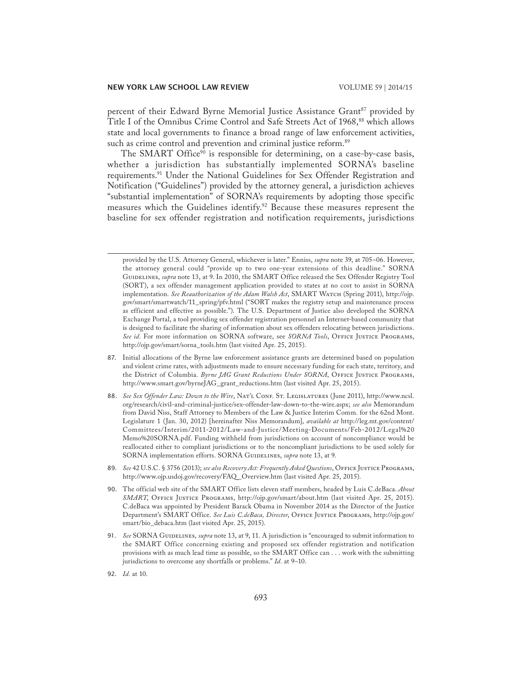percent of their Edward Byrne Memorial Justice Assistance Grant<sup>87</sup> provided by Title I of the Omnibus Crime Control and Safe Streets Act of 1968,<sup>88</sup> which allows state and local governments to finance a broad range of law enforcement activities, such as crime control and prevention and criminal justice reform.<sup>89</sup>

The SMART Office<sup>90</sup> is responsible for determining, on a case-by-case basis, whether a jurisdiction has substantially implemented SORNA's baseline requirements.91 Under the National Guidelines for Sex Offender Registration and Notification ("Guidelines") provided by the attorney general, a jurisdiction achieves "substantial implementation" of SORNA's requirements by adopting those specific measures which the Guidelines identify.<sup>92</sup> Because these measures represent the baseline for sex offender registration and notification requirements, jurisdictions

- 87. Initial allocations of the Byrne law enforcement assistance grants are determined based on population and violent crime rates, with adjustments made to ensure necessary funding for each state, territory, and the District of Columbia. Byrne JAG Grant Reductions Under SORNA, OFFICE JUSTICE PROGRAMS, http://www.smart.gov/byrneJAG\_grant\_reductions.htm (last visited Apr. 25, 2015).
- 88. *See Sex Offender Law: Down to the Wire*, Nat'l Conf. St. Legislatures (June 2011), http://www.ncsl. org/research/civil-and-criminal-justice/sex-offender-law-down-to-the-wire.aspx; *see also* Memorandum from David Niss, Staff Attorney to Members of the Law & Justice Interim Comm. for the 62nd Mont. Legislature 1 (Jan. 30, 2012) [hereinafter Niss Memorandum], *available at* http://leg.mt.gov/content/ Committees/Interim/2011-2012/Law-and-Justice/Meeting-Documents/Feb-2012/Legal%20 Memo%20SORNA.pdf. Funding withheld from jurisdictions on account of noncompliance would be reallocated either to compliant jurisdictions or to the noncompliant jurisdictions to be used solely for SORNA implementation efforts. SORNA GUIDELINES, *supra* note 13, at 9.
- 89. See 42 U.S.C. § 3756 (2013); see also Recovery Act: Frequently Asked Questions, OFFICE JUSTICE PROGRAMS, http://www.ojp.usdoj.gov/recovery/FAQ \_Overview.htm (last visited Apr. 25, 2015).
- 90. The official web site of the SMART Office lists eleven staff members, headed by Luis C.deBaca. *About*  SMART, OFFICE JUSTICE PROGRAMS, http://ojp.gov/smart/about.htm (last visited Apr. 25, 2015). C.deBaca was appointed by President Barack Obama in November 2014 as the Director of the Justice Department's SMART Office. *See Luis C.deBaca, Director*, Office Justice Programs, http://ojp.gov/ smart/bio\_debaca.htm (last visited Apr. 25, 2015).
- 91. See SORNA GUIDELINES, *supra* note 13, at 9, 11. A jurisdiction is "encouraged to submit information to the SMART Office concerning existing and proposed sex offender registration and notification provisions with as much lead time as possible, so the SMART Office can . . . work with the submitting jurisdictions to overcome any shortfalls or problems." *Id.* at 9–10.
- 92. *Id.* at 10.

provided by the U.S. Attorney General, whichever is later." Enniss, *supra* note 39, at 705–06. However, the attorney general could "provide up to two one-year extensions of this deadline." SORNA Guidelines, *supra* note 13, at 9. In 2010, the SMART Office released the Sex Offender Registry Tool (SORT), a sex offender management application provided to states at no cost to assist in SORNA implementation. See Reauthorization of the Adam Walsh Act, SMART WATCH (Spring 2011), http://ojp. gov/smart/smartwatch/11\_spring/pfv.html ("SORT makes the registry setup and maintenance process as efficient and effective as possible."). The U.S. Department of Justice also developed the SORNA Exchange Portal, a tool providing sex offender registration personnel an Internet-based community that is designed to facilitate the sharing of information about sex offenders relocating between jurisdictions. *See id.* For more information on SORNA software, see *SORNA Tools*, Office Justice Programs, http://ojp.gov/smart/sorna\_tools.htm (last visited Apr. 25, 2015).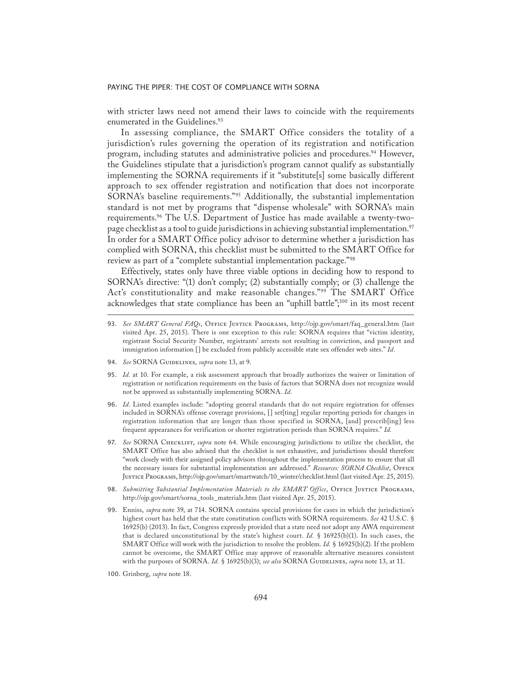with stricter laws need not amend their laws to coincide with the requirements enumerated in the Guidelines.<sup>93</sup>

In assessing compliance, the SMART Office considers the totality of a jurisdiction's rules governing the operation of its registration and notification program, including statutes and administrative policies and procedures.<sup>94</sup> However, the Guidelines stipulate that a jurisdiction's program cannot qualify as substantially implementing the SORNA requirements if it "substitute[s] some basically different approach to sex offender registration and notification that does not incorporate SORNA's baseline requirements."95 Additionally, the substantial implementation standard is not met by programs that "dispense wholesale" with SORNA's main requirements.96 The U.S. Department of Justice has made available a twenty-twopage checklist as a tool to guide jurisdictions in achieving substantial implementation.<sup>97</sup> In order for a SMART Office policy advisor to determine whether a jurisdiction has complied with SORNA, this checklist must be submitted to the SMART Office for review as part of a "complete substantial implementation package."98

Effectively, states only have three viable options in deciding how to respond to SORNA's directive: "(1) don't comply; (2) substantially comply; or (3) challenge the Act's constitutionality and make reasonable changes."99 The SMART Office acknowledges that state compliance has been an "uphill battle";<sup>100</sup> in its most recent

- 94. See SORNA GUIDELINES, *supra* note 13, at 9.
- 95. *Id.* at 10. For example, a risk assessment approach that broadly authorizes the waiver or limitation of registration or notification requirements on the basis of factors that SORNA does not recognize would not be approved as substantially implementing SORNA. *Id.*
- 96. *Id.* Listed examples include: "adopting general standards that do not require registration for offenses included in SORNA's offense coverage provisions, [] set[ting] regular reporting periods for changes in registration information that are longer than those specified in SORNA, [and] prescrib[ing] less frequent appearances for verification or shorter registration periods than SORNA requires." *Id.*
- 97. *See* SORNA Checklist, *supra* note 64. While encouraging jurisdictions to utilize the checklist, the SMART Office has also advised that the checklist is not exhaustive, and jurisdictions should therefore "work closely with their assigned policy advisors throughout the implementation process to ensure that all the necessary issues for substantial implementation are addressed." Resources: SORNA Checklist, OFFICE Justice Programs, http://ojp.gov/smart/smartwatch/10\_winter/checklist.html (last visited Apr. 25, 2015).
- 98. Submitting Substantial Implementation Materials to the SMART Office, OFFICE JUSTICE PROGRAMS, http://ojp.gov/smart/sorna\_tools\_materials.htm (last visited Apr. 25, 2015).
- 99. Enniss, *supra* note 39, at 714. SORNA contains special provisions for cases in which the jurisdiction's highest court has held that the state constitution conflicts with SORNA requirements. *See* 42 U.S.C. § 16925(b) (2013). In fact, Congress expressly provided that a state need not adopt any AWA requirement that is declared unconstitutional by the state's highest court. *Id.* § 16925(b)(1). In such cases, the SMART Office will work with the jurisdiction to resolve the problem. *Id.* § 16925(b)(2). If the problem cannot be overcome, the SMART Office may approve of reasonable alternative measures consistent with the purposes of SORNA. *Id.* § 16925(b)(3); *see also* SORNA GUIDELINES, *supra* note 13, at 11.
- 100. Grinberg, *supra* note 18.

<sup>93.</sup> *See SMART General FAQs*, Office Justice Programs, http://ojp.gov/smart/faq\_general.htm (last visited Apr. 25, 2015). There is one exception to this rule: SORNA requires that "victim identity, registrant Social Security Number, registrants' arrests not resulting in conviction, and passport and immigration information [] be excluded from publicly accessible state sex offender web sites." *Id.*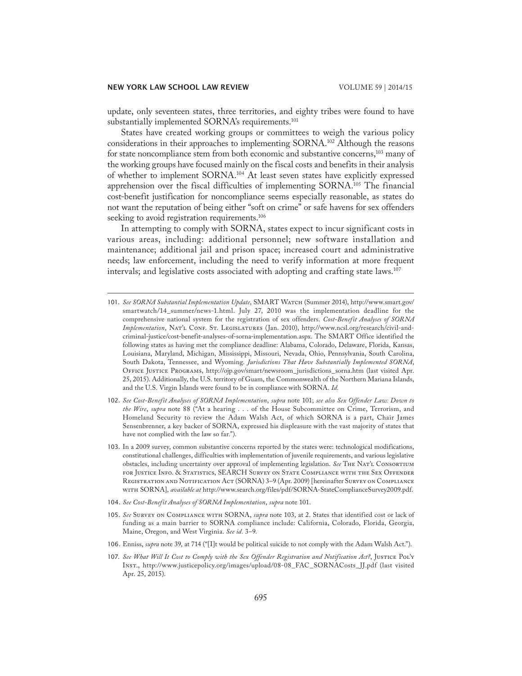update, only seventeen states, three territories, and eighty tribes were found to have substantially implemented SORNA's requirements.<sup>101</sup>

States have created working groups or committees to weigh the various policy considerations in their approaches to implementing SORNA.102 Although the reasons for state noncompliance stem from both economic and substantive concerns,<sup>103</sup> many of the working groups have focused mainly on the fiscal costs and benefits in their analysis of whether to implement SORNA.104 At least seven states have explicitly expressed apprehension over the fiscal difficulties of implementing SORNA.105 The financial cost-benefit justification for noncompliance seems especially reasonable, as states do not want the reputation of being either "soft on crime" or safe havens for sex offenders seeking to avoid registration requirements.<sup>106</sup>

In attempting to comply with SORNA, states expect to incur significant costs in various areas, including: additional personnel; new software installation and maintenance; additional jail and prison space; increased court and administrative needs; law enforcement, including the need to verify information at more frequent intervals; and legislative costs associated with adopting and crafting state laws.<sup>107</sup>

- 101. *See SORNA Substantial Implementation Update*, SMART Watch (Summer 2014), http://www.smart.gov/ smartwatch/14\_summer/news-1.html. July 27, 2010 was the implementation deadline for the comprehensive national system for the registration of sex offenders. *Cost-Benefit Analyses of SORNA*  Implementation, NAT'L CONF. ST. LEGISLATURES (Jan. 2010), http://www.ncsl.org/research/civil-andcriminal-justice/cost-benefit-analyses-of-sorna-implementation.aspx. The SMART Office identified the following states as having met the compliance deadline: Alabama, Colorado, Delaware, Florida, Kansas, Louisiana, Maryland, Michigan, Mississippi, Missouri, Nevada, Ohio, Pennsylvania, South Carolina, South Dakota, Tennessee, and Wyoming. *Jurisdictions That Have Substantially Implemented SORNA*, Office Justice Programs, http://ojp.gov/smart/newsroom\_jurisdictions\_sorna.htm (last visited Apr. 25, 2015). Additionally, the U.S. territory of Guam, the Commonwealth of the Northern Mariana Islands, and the U.S. Virgin Islands were found to be in compliance with SORNA. *Id.*
- 102. *See Cost-Benefit Analyses of SORNA Implementation*, *supra* note 101; *see also Sex Offender Law: Down to the Wire*, *supra* note 88 ("At a hearing . . . of the House Subcommittee on Crime, Terrorism, and Homeland Security to review the Adam Walsh Act, of which SORNA is a part, Chair James Sensenbrenner, a key backer of SORNA, expressed his displeasure with the vast majority of states that have not complied with the law so far.").
- 103. In a 2009 survey, common substantive concerns reported by the states were: technological modifications, constitutional challenges, difficulties with implementation of juvenile requirements, and various legislative obstacles, including uncertainty over approval of implementing legislation. *See* The Nat'l Consortium for Justice Info. & Statistics, SEARCH Survey on State Compliance with the Sex Offender REGISTRATION AND NOTIFICATION ACT (SORNA) 3-9 (Apr. 2009) [hereinafter Survey on COMPLIANCE with SORNA], *available at* http://www.search.org/files/pdf/SORNA-StateComplianceSurvey2009.pdf.
- 104. *See Cost-Benefit Analyses of SORNA Implementation*, *supra* note 101.
- 105. *See* Survey on Compliance with SORNA, *supra* note 103, at 2. States that identified cost or lack of funding as a main barrier to SORNA compliance include: California, Colorado, Florida, Georgia, Maine, Oregon, and West Virginia. *See id.* 3–9*.*
- 106. Enniss, *supra* note 39, at 714 ("[I]t would be political suicide to not comply with the Adam Walsh Act.").
- 107. *See What Will It Cost to Comply with the Sex Offender Registration and Notification Act?*, Justice Pol'y Inst., http://www.justicepolicy.org/images/upload/08-08\_FAC\_SORNACosts\_JJ.pdf (last visited Apr. 25, 2015).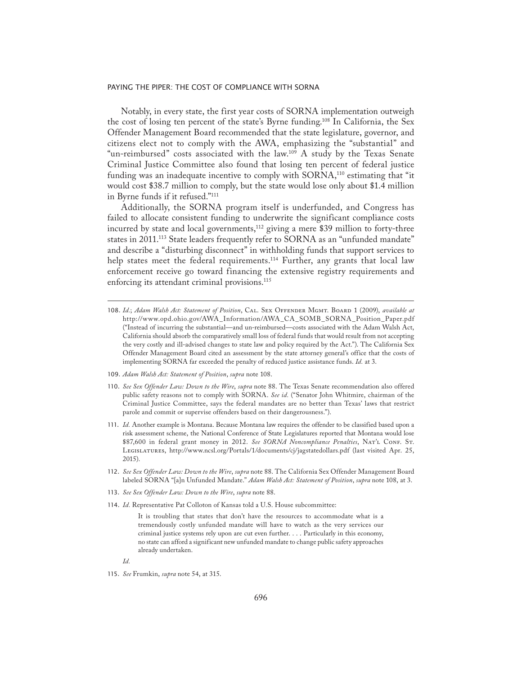Notably, in every state, the first year costs of SORNA implementation outweigh the cost of losing ten percent of the state's Byrne funding.<sup>108</sup> In California, the Sex Offender Management Board recommended that the state legislature, governor, and citizens elect not to comply with the AWA, emphasizing the "substantial" and "un-reimbursed" costs associated with the law.109 A study by the Texas Senate Criminal Justice Committee also found that losing ten percent of federal justice funding was an inadequate incentive to comply with  $SORMA<sub>110</sub>$  estimating that "it would cost \$38.7 million to comply, but the state would lose only about \$1.4 million in Byrne funds if it refused."111

Additionally, the SORNA program itself is underfunded, and Congress has failed to allocate consistent funding to underwrite the significant compliance costs incurred by state and local governments,<sup>112</sup> giving a mere \$39 million to forty-three states in 2011.<sup>113</sup> State leaders frequently refer to SORNA as an "unfunded mandate" and describe a "disturbing disconnect" in withholding funds that support services to help states meet the federal requirements.<sup>114</sup> Further, any grants that local law enforcement receive go toward financing the extensive registry requirements and enforcing its attendant criminal provisions.<sup>115</sup>

- 108. *Id.*; *Adam Walsh Act: Statement of Position*, Cal. Sex Offender Mgmt. Board 1 (2009), *available at* http://www.opd.ohio.gov/AWA\_Information/AWA\_CA\_SOMB\_SORNA\_Position\_Paper.pdf ("Instead of incurring the substantial—and un-reimbursed—costs associated with the Adam Walsh Act, California should absorb the comparatively small loss of federal funds that would result from not accepting the very costly and ill-advised changes to state law and policy required by the Act."). The California Sex Offender Management Board cited an assessment by the state attorney general's office that the costs of implementing SORNA far exceeded the penalty of reduced justice assistance funds. *Id.* at 3.
- 109. *Adam Walsh Act: Statement of Position*, *supra* note 108.
- 110. *See Sex Offender Law: Down to the Wire*, *supra* note 88. The Texas Senate recommendation also offered public safety reasons not to comply with SORNA. *See id.* ("Senator John Whitmire, chairman of the Criminal Justice Committee, says the federal mandates are no better than Texas' laws that restrict parole and commit or supervise offenders based on their dangerousness.").
- 111. *Id.* Another example is Montana. Because Montana law requires the offender to be classified based upon a risk assessment scheme, the National Conference of State Legislatures reported that Montana would lose \$87,600 in federal grant money in 2012. See SORNA Noncompliance Penalties, NAT'L CONF. ST. Legislatures, http://www.ncsl.org/Portals/1/documents/cj/jagstatedollars.pdf (last visited Apr. 25, 2015).
- 112. *See Sex Offender Law: Down to the Wire*, *supra* note 88. The California Sex Offender Management Board labeled SORNA "[a]n Unfunded Mandate." *Adam Walsh Act: Statement of Position*, *supra* note 108, at 3.
- 113. *See Sex Offender Law: Down to the Wire*, *supra* note 88.
- 114. *Id.* Representative Pat Colloton of Kansas told a U.S. House subcommittee:

It is troubling that states that don't have the resources to accommodate what is a tremendously costly unfunded mandate will have to watch as the very services our criminal justice systems rely upon are cut even further. . . . Particularly in this economy, no state can afford a significant new unfunded mandate to change public safety approaches already undertaken.

*Id.*

<sup>115.</sup> *See* Frumkin, *supra* note 54, at 315.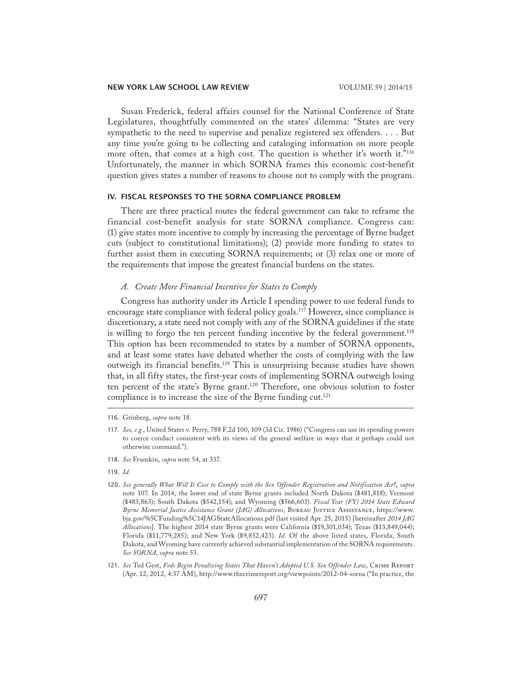Susan Frederick, federal affairs counsel for the National Conference of State Legislatures, thoughtfully commented on the states' dilemma: "States are very sympathetic to the need to supervise and penalize registered sex offenders. . . . But any time you're going to be collecting and cataloging information on more people more often, that comes at a high cost. The question is whether it's worth it."<sup>116</sup> Unfortunately, the manner in which SORNA frames this economic cost-benefit question gives states a number of reasons to choose not to comply with the program.

# IV. FISCAL RESPONSES TO THE SORNA COMPLIANCE PROBLEM

There are three practical routes the federal government can take to reframe the financial cost-benefit analysis for state SORNA compliance. Congress can: (1) give states more incentive to comply by increasing the percentage of Byrne budget cuts (subject to constitutional limitations); (2) provide more funding to states to further assist them in executing SORNA requirements; or (3) relax one or more of the requirements that impose the greatest financial burdens on the states.

# *A. Create More Financial Incentive for States to Comply*

Congress has authority under its Article I spending power to use federal funds to encourage state compliance with federal policy goals.<sup>117</sup> However, since compliance is discretionary, a state need not comply with any of the SORNA guidelines if the state is willing to forgo the ten percent funding incentive by the federal government.<sup>118</sup> This option has been recommended to states by a number of SORNA opponents, and at least some states have debated whether the costs of complying with the law outweigh its financial benefits.119 This is unsurprising because studies have shown that, in all fifty states, the first-year costs of implementing SORNA outweigh losing ten percent of the state's Byrne grant.<sup>120</sup> Therefore, one obvious solution to foster compliance is to increase the size of the Byrne funding cut.<sup>121</sup>

- 118. *See* Frumkin, *supra* note 54, at 337.
- 119. *Id.*
- 120. *See generally What Will It Cost to Comply with the Sex Offender Registration and Notification Act?*, *supra*  note 107. In 2014, the lower end of state Byrne grants included North Dakota (\$481,818); Vermont (\$483,863); South Dakota (\$542,154); and Wyoming (\$566,603). *Fiscal Year (FY) 2014 State Edward Byrne Memorial Justice Assistance Grant (JAG) Allocations*, Bureau Justice Assistance, https://www. bja.gov/%5CFunding%5C14JAGStateAllocations.pdf (last visited Apr. 25, 2015) [hereinafter *2014 JAG Allocations*]. The highest 2014 state Byrne grants were California (\$19,301,034); Texas (\$13,849,044); Florida (\$11,779,285); and New York (\$9,852,423). *Id.* Of the above listed states, Florida, South Dakota, and Wyoming have currently achieved substantial implementation of the SORNA requirements. *See SORNA*, *supra* note 53.
- 121. *See* Ted Gest, *Feds Begin Penalizing States That Haven't Adopted U.S. Sex Offender Law*, Crime Report (Apr. 12, 2012, 4:37 AM), http://www.thecrimereport.org/viewpoints/2012-04-sorna ("In practice, the

<sup>116.</sup> Grinberg, *supra* note 18.

<sup>117.</sup> *See, e.g.*, United States v. Perry, 788 F.2d 100, 109 (3d Cir. 1986) ("Congress can use its spending powers to coerce conduct consistent with its views of the general welfare in ways that it perhaps could not otherwise command.").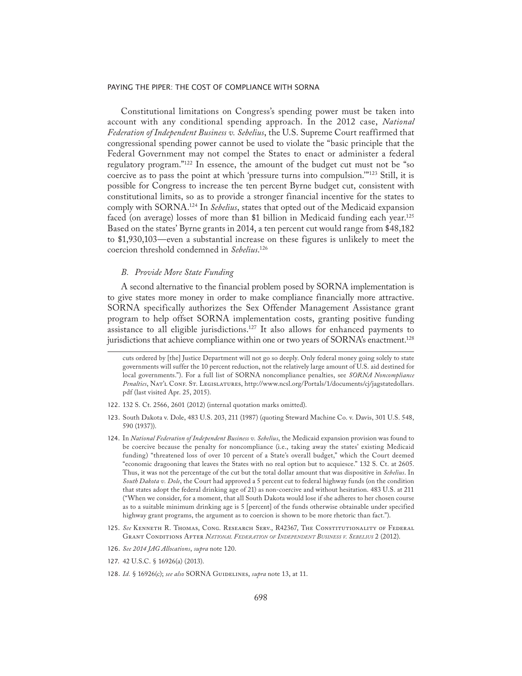Constitutional limitations on Congress's spending power must be taken into account with any conditional spending approach. In the 2012 case, *National Federation of Independent Business v. Sebelius*, the U.S. Supreme Court reaffirmed that congressional spending power cannot be used to violate the "basic principle that the Federal Government may not compel the States to enact or administer a federal regulatory program."122 In essence, the amount of the budget cut must not be "so coercive as to pass the point at which 'pressure turns into compulsion.'"123 Still, it is possible for Congress to increase the ten percent Byrne budget cut, consistent with constitutional limits, so as to provide a stronger financial incentive for the states to comply with SORNA.124 In *Sebelius*, states that opted out of the Medicaid expansion faced (on average) losses of more than \$1 billion in Medicaid funding each year.<sup>125</sup> Based on the states' Byrne grants in 2014, a ten percent cut would range from \$48,182 to \$1,930,103—even a substantial increase on these figures is unlikely to meet the coercion threshold condemned in *Sebelius*. 126

## *B. Provide More State Funding*

A second alternative to the financial problem posed by SORNA implementation is to give states more money in order to make compliance financially more attractive. SORNA specifically authorizes the Sex Offender Management Assistance grant program to help offset SORNA implementation costs, granting positive funding assistance to all eligible jurisdictions.127 It also allows for enhanced payments to jurisdictions that achieve compliance within one or two years of SORNA's enactment.<sup>128</sup>

- 122. 132 S. Ct. 2566, 2601 (2012) (internal quotation marks omitted).
- 123. South Dakota v. Dole, 483 U.S. 203, 211 (1987) (quoting Steward Machine Co. v. Davis, 301 U.S. 548, 590 (1937)).
- 124. In *National Federation of Independent Business v. Sebelius*, the Medicaid expansion provision was found to be coercive because the penalty for noncompliance (i.e., taking away the states' existing Medicaid funding) "threatened loss of over 10 percent of a State's overall budget," which the Court deemed "economic dragooning that leaves the States with no real option but to acquiesce." 132 S. Ct. at 2605. Thus, it was not the percentage of the cut but the total dollar amount that was dispositive in *Sebelius*. In *South Dakota v. Dole*, the Court had approved a 5 percent cut to federal highway funds (on the condition that states adopt the federal drinking age of 21) as non-coercive and without hesitation. 483 U.S. at 211 ("When we consider, for a moment, that all South Dakota would lose if she adheres to her chosen course as to a suitable minimum drinking age is 5 [percent] of the funds otherwise obtainable under specified highway grant programs, the argument as to coercion is shown to be more rhetoric than fact.").
- 125. See KENNETH R. THOMAS, CONG. RESEARCH SERV., R42367, THE CONSTITUTIONALITY OF FEDERAL Grant Conditions After *National Federation of Independent Business v. Sebelius* 2 (2012).
- 126. *See 2014 JAG Allocations*, *supra* note 120.
- 127. 42 U.S.C. § 16926(a) (2013).
- 128. *Id.* § 16926(c); *see also* SORNA GUIDELINES, *supra* note 13, at 11.

cuts ordered by [the] Justice Department will not go so deeply. Only federal money going solely to state governments will suffer the 10 percent reduction, not the relatively large amount of U.S. aid destined for local governments."). For a full list of SORNA noncompliance penalties, see *SORNA Noncompliance*  Penalties, NAT'L CONF. ST. LEGISLATURES, http://www.ncsl.org/Portals/1/documents/cj/jagstatedollars. pdf (last visited Apr. 25, 2015).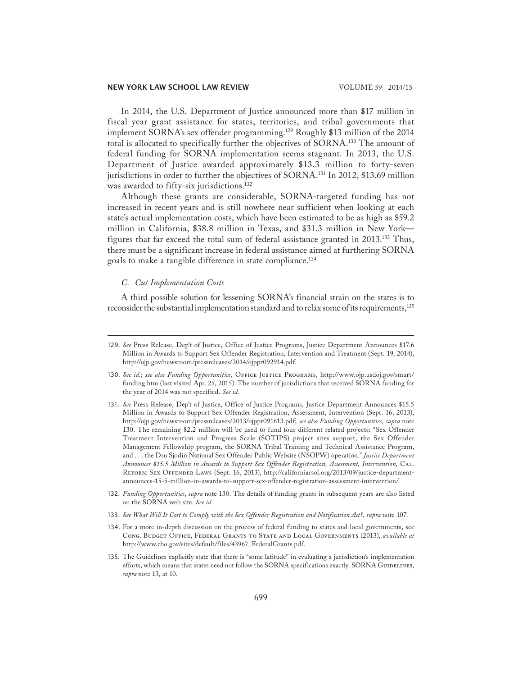In 2014, the U.S. Department of Justice announced more than \$17 million in fiscal year grant assistance for states, territories, and tribal governments that implement SORNA's sex offender programming.129 Roughly \$13 million of the 2014 total is allocated to specifically further the objectives of SORNA.130 The amount of federal funding for SORNA implementation seems stagnant. In 2013, the U.S. Department of Justice awarded approximately \$13.3 million to forty-seven jurisdictions in order to further the objectives of SORNA.131 In 2012, \$13.69 million was awarded to fifty-six jurisdictions.<sup>132</sup>

Although these grants are considerable, SORNA-targeted funding has not increased in recent years and is still nowhere near sufficient when looking at each state's actual implementation costs, which have been estimated to be as high as \$59.2 million in California, \$38.8 million in Texas, and \$31.3 million in New York figures that far exceed the total sum of federal assistance granted in 2013.133 Thus, there must be a significant increase in federal assistance aimed at furthering SORNA goals to make a tangible difference in state compliance.134

## *C. Cut Implementation Costs*

A third possible solution for lessening SORNA's financial strain on the states is to reconsider the substantial implementation standard and to relax some of its requirements,<sup>135</sup>

- 130. *See id.*; *see also Funding Opportunities*, Office Justice Programs, http://www.ojp.usdoj.gov/smart/ funding.htm (last visited Apr. 25, 2015). The number of jurisdictions that received SORNA funding for the year of 2014 was not specified. *See id.*
- 131. *See* Press Release, Dep't of Justice, Office of Justice Programs, Justice Department Announces \$15.5 Million in Awards to Support Sex Offender Registration, Assessment, Intervention (Sept. 16, 2013), http://ojp.gov/newsroom/pressreleases/2013/ojppr091613.pdf; *see also Funding Opportunities*, *supra* note 130. The remaining \$2.2 million will be used to fund four different related projects: "Sex Offender Treatment Intervention and Progress Scale (SOTIPS) project sites support, the Sex Offender Management Fellowship program, the SORNA Tribal Training and Technical Assistance Program, and . . . the Dru Sjodin National Sex Offender Public Website (NSOPW) operation." *Justice Department Announces \$15.5 Million in Awards to Support Sex Offender Registration, Assessment, Intervention,* Cal. Reform Sex Offender Laws (Sept. 16, 2013), http://californiarsol.org/2013/09/justice-departmentannounces-15-5-million-in-awards-to-support-sex-offender-registration-assessment-intervention/.
- 132. *Funding Opportunities*, *supra* note 130. The details of funding grants in subsequent years are also listed on the SORNA web site. *See id.*
- 133. *See What Will It Cost to Comply with the Sex Offender Registration and Notification Act?*, *supra* note 107.
- 134. For a more in-depth discussion on the process of federal funding to states and local governments, see Cong. Budget Office, Federal Grants to State and Local Governments (2013), *available at* http://www.cbo.gov/sites/default/files/43967\_FederalGrants.pdf.
- 135. The Guidelines explicitly state that there is "some latitude" in evaluating a jurisdiction's implementation efforts, which means that states need not follow the SORNA specifications exactly. SORNA GUIDELINES, *supra* note 13, at 10.

<sup>129.</sup> *See* Press Release, Dep't of Justice, Office of Justice Programs, Justice Department Announces \$17.6 Million in Awards to Support Sex Offender Registration, Intervention and Treatment (Sept. 19, 2014), http://ojp.gov/newsroom/pressreleases/2014/ojppr092914.pdf.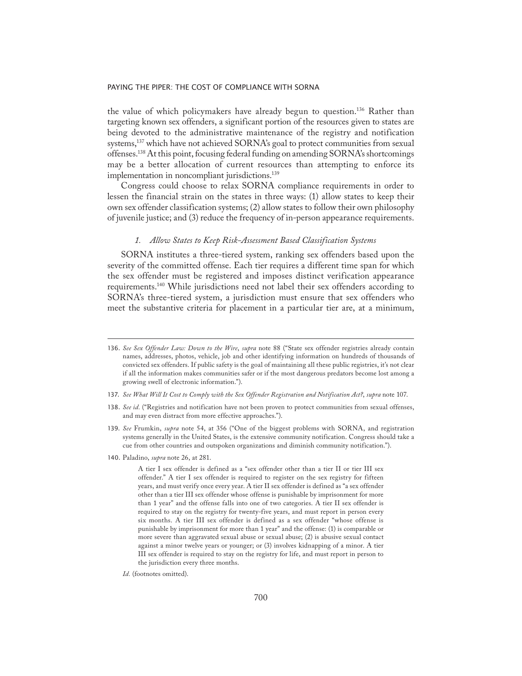the value of which policymakers have already begun to question.<sup>136</sup> Rather than targeting known sex offenders, a significant portion of the resources given to states are being devoted to the administrative maintenance of the registry and notification systems,<sup>137</sup> which have not achieved SORNA's goal to protect communities from sexual offenses.138 At this point, focusing federal funding on amending SORNA's shortcomings may be a better allocation of current resources than attempting to enforce its implementation in noncompliant jurisdictions.<sup>139</sup>

Congress could choose to relax SORNA compliance requirements in order to lessen the financial strain on the states in three ways: (1) allow states to keep their own sex offender classification systems; (2) allow states to follow their own philosophy of juvenile justice; and (3) reduce the frequency of in-person appearance requirements.

## *1. Allow States to Keep Risk-Assessment Based Classification Systems*

SORNA institutes a three-tiered system, ranking sex offenders based upon the severity of the committed offense. Each tier requires a different time span for which the sex offender must be registered and imposes distinct verification appearance requirements.140 While jurisdictions need not label their sex offenders according to SORNA's three-tiered system, a jurisdiction must ensure that sex offenders who meet the substantive criteria for placement in a particular tier are, at a minimum,

- 137. *See What Will It Cost to Comply with the Sex Offender Registration and Notification Act?*, *supra* note 107.
- 138. *See id.* ("Registries and notification have not been proven to protect communities from sexual offenses, and may even distract from more effective approaches.").
- 139. *See* Frumkin, *supra* note 54, at 356 ("One of the biggest problems with SORNA, and registration systems generally in the United States, is the extensive community notification. Congress should take a cue from other countries and outspoken organizations and diminish community notification.").
- 140. Paladino, *supra* note 26, at 281.

A tier I sex offender is defined as a "sex offender other than a tier II or tier III sex offender." A tier I sex offender is required to register on the sex registry for fifteen years, and must verify once every year. A tier II sex offender is defined as "a sex offender other than a tier III sex offender whose offense is punishable by imprisonment for more than 1 year" and the offense falls into one of two categories. A tier II sex offender is required to stay on the registry for twenty-five years, and must report in person every six months. A tier III sex offender is defined as a sex offender "whose offense is punishable by imprisonment for more than 1 year" and the offense: (1) is comparable or more severe than aggravated sexual abuse or sexual abuse; (2) is abusive sexual contact against a minor twelve years or younger; or (3) involves kidnapping of a minor. A tier III sex offender is required to stay on the registry for life, and must report in person to the jurisdiction every three months.

<sup>136.</sup> *See Sex Offender Law: Down to the Wire*, *supra* note 88 ("State sex offender registries already contain names, addresses, photos, vehicle, job and other identifying information on hundreds of thousands of convicted sex offenders. If public safety is the goal of maintaining all these public registries, it's not clear if all the information makes communities safer or if the most dangerous predators become lost among a growing swell of electronic information.").

*Id.* (footnotes omitted).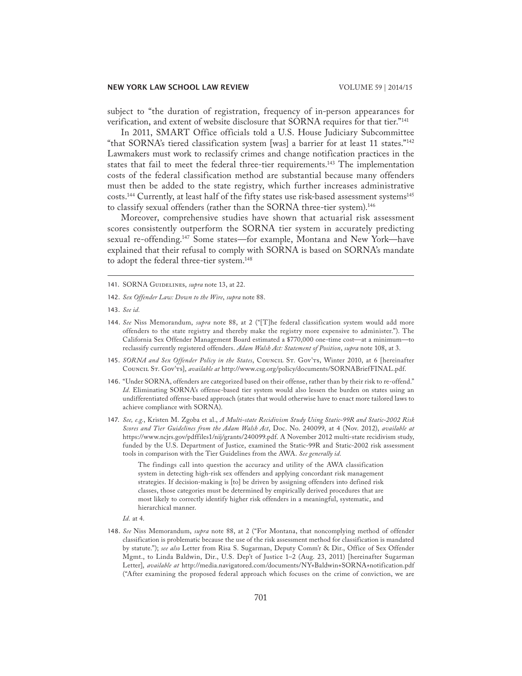subject to "the duration of registration, frequency of in-person appearances for verification, and extent of website disclosure that SORNA requires for that tier."141

In 2011, SMART Office officials told a U.S. House Judiciary Subcommittee "that SORNA's tiered classification system [was] a barrier for at least 11 states."142 Lawmakers must work to reclassify crimes and change notification practices in the states that fail to meet the federal three-tier requirements.143 The implementation costs of the federal classification method are substantial because many offenders must then be added to the state registry, which further increases administrative costs.<sup>144</sup> Currently, at least half of the fifty states use risk-based assessment systems<sup>145</sup> to classify sexual offenders (rather than the SORNA three-tier system).<sup>146</sup>

Moreover, comprehensive studies have shown that actuarial risk assessment scores consistently outperform the SORNA tier system in accurately predicting sexual re-offending.<sup>147</sup> Some states—for example, Montana and New York—have explained that their refusal to comply with SORNA is based on SORNA's mandate to adopt the federal three-tier system.<sup>148</sup>

- 143. *See id.*
- 144. *See* Niss Memorandum, *supra* note 88, at 2 ("[T]he federal classification system would add more offenders to the state registry and thereby make the registry more expensive to administer."). The California Sex Offender Management Board estimated a \$770,000 one-time cost—at a minimum—to reclassify currently registered offenders. *Adam Walsh Act: Statement of Position*, *supra* note 108, at 3.
- 145. *SORNA and Sex Offender Policy in the States*, Council St. Gov'ts, Winter 2010, at 6 [hereinafter Council St. Gov'ts], *available at* http://www.csg.org/policy/documents/SORNABriefFINAL.pdf.
- 146. "Under SORNA, offenders are categorized based on their offense, rather than by their risk to re-offend." *Id.* Eliminating SORNA's offense-based tier system would also lessen the burden on states using an undifferentiated offense-based approach (states that would otherwise have to enact more tailored laws to achieve compliance with SORNA).
- 147. *See, e.g.*, Kristen M. Zgoba et al., *A Multi-state Recidivism Study Using Static-99R and Static-2002 Risk Scores and Tier Guidelines from the Adam Walsh Act*, Doc. No. 240099, at 4 (Nov. 2012), *available at* https://www.ncjrs.gov/pdffiles1/nij/grants/240099.pdf. A November 2012 multi-state recidivism study, funded by the U.S. Department of Justice, examined the Static-99R and Static-2002 risk assessment tools in comparison with the Tier Guidelines from the AWA. *See generally id.*

The findings call into question the accuracy and utility of the AWA classification system in detecting high-risk sex offenders and applying concordant risk management strategies. If decision-making is [to] be driven by assigning offenders into defined risk classes, those categories must be determined by empirically derived procedures that are most likely to correctly identify higher risk offenders in a meaningful, systematic, and hierarchical manner.

*Id.* at 4.

148. *See* Niss Memorandum, *supra* note 88, at 2 ("For Montana, that noncomplying method of offender classification is problematic because the use of the risk assessment method for classification is mandated by statute."); *see also* Letter from Risa S. Sugarman, Deputy Comm'r & Dir., Office of Sex Offender Mgmt., to Linda Baldwin, Dir., U.S. Dep't of Justice 1–2 (Aug. 23, 2011) [hereinafter Sugarman Letter], *available at* http://media.navigatored.com/documents/NY+Baldwin+SORNA+notification.pdf ("After examining the proposed federal approach which focuses on the crime of conviction, we are

<sup>141.</sup> SORNA GUIDELINES, *supra* note 13, at 22.

<sup>142.</sup> *Sex Offender Law: Down to the Wire*, *supra* note 88.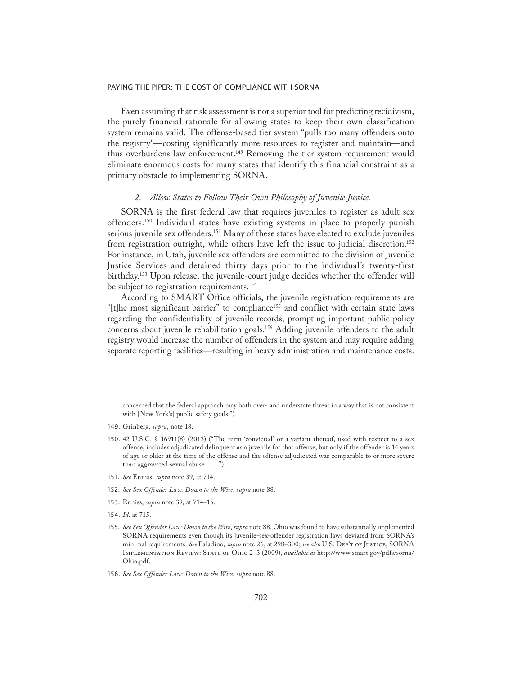Even assuming that risk assessment is not a superior tool for predicting recidivism, the purely financial rationale for allowing states to keep their own classification system remains valid. The offense-based tier system "pulls too many offenders onto the registry"—costing significantly more resources to register and maintain—and thus overburdens law enforcement.<sup>149</sup> Removing the tier system requirement would eliminate enormous costs for many states that identify this financial constraint as a primary obstacle to implementing SORNA.

# *2. Allow States to Follow Their Own Philosophy of Juvenile Justice.*

SORNA is the first federal law that requires juveniles to register as adult sex offenders.150 Individual states have existing systems in place to properly punish serious juvenile sex offenders.<sup>151</sup> Many of these states have elected to exclude juveniles from registration outright, while others have left the issue to judicial discretion.<sup>152</sup> For instance, in Utah, juvenile sex offenders are committed to the division of Juvenile Justice Services and detained thirty days prior to the individual's twenty-first birthday.153 Upon release, the juvenile-court judge decides whether the offender will be subject to registration requirements.<sup>154</sup>

According to SMART Office officials, the juvenile registration requirements are "[t]he most significant barrier" to compliance<sup>155</sup> and conflict with certain state laws regarding the confidentiality of juvenile records, prompting important public policy concerns about juvenile rehabilitation goals.156 Adding juvenile offenders to the adult registry would increase the number of offenders in the system and may require adding separate reporting facilities—resulting in heavy administration and maintenance costs.

- 149. Grinberg, *supra*, note 18.
- 150. 42 U.S.C. § 16911(8) (2013) ("The term 'convicted' or a variant thereof, used with respect to a sex offense, includes adjudicated delinquent as a juvenile for that offense, but only if the offender is 14 years of age or older at the time of the offense and the offense adjudicated was comparable to or more severe than aggravated sexual abuse . . . .").
- 151. *See* Enniss, *supra* note 39, at 714.
- 152. *See Sex Offender Law: Down to the Wire*, *supra* note 88.
- 153. Enniss, *supra* note 39, at 714–15.
- 154. *Id.* at 715.
- 155. *See Sex Offender Law: Down to the Wire*, *supra* note 88. Ohio was found to have substantially implemented SORNA requirements even though its juvenile-sex-offender registration laws deviated from SORNA's minimal requirements. *See* Paladino, *supra* note 26, at 298–300; *see also* U.S. Dep't of Justice, SORNA Implementation Review: State of Ohio 2–3 (2009), *available at* http://www.smart.gov/pdfs/sorna/ Ohio.pdf.
- 156. *See Sex Offender Law: Down to the Wire*, *supra* note 88.

concerned that the federal approach may both over- and understate threat in a way that is not consistent with [New York's] public safety goals.").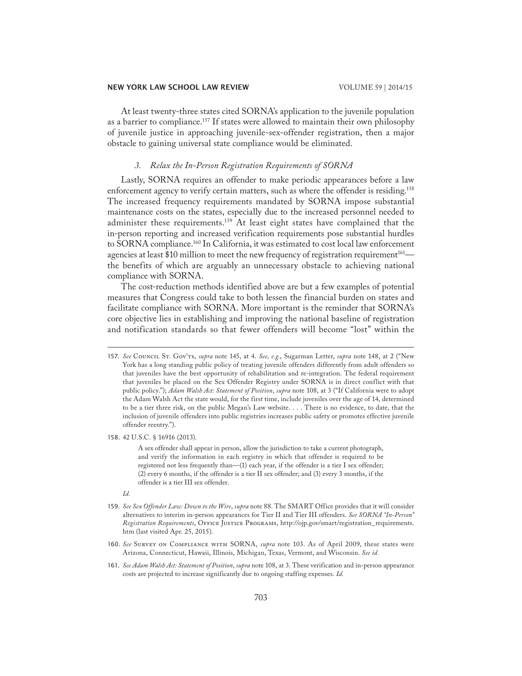At least twenty-three states cited SORNA's application to the juvenile population as a barrier to compliance.157 If states were allowed to maintain their own philosophy of juvenile justice in approaching juvenile-sex-offender registration, then a major obstacle to gaining universal state compliance would be eliminated.

## *3. Relax the In-Person Registration Requirements of SORNA*

Lastly, SORNA requires an offender to make periodic appearances before a law enforcement agency to verify certain matters, such as where the offender is residing.<sup>158</sup> The increased frequency requirements mandated by SORNA impose substantial maintenance costs on the states, especially due to the increased personnel needed to administer these requirements.<sup>159</sup> At least eight states have complained that the in-person reporting and increased verification requirements pose substantial hurdles to SORNA compliance.<sup>160</sup> In California, it was estimated to cost local law enforcement agencies at least \$10 million to meet the new frequency of registration requirement<sup>161</sup> the benefits of which are arguably an unnecessary obstacle to achieving national compliance with SORNA.

The cost-reduction methods identified above are but a few examples of potential measures that Congress could take to both lessen the financial burden on states and facilitate compliance with SORNA. More important is the reminder that SORNA's core objective lies in establishing and improving the national baseline of registration and notification standards so that fewer offenders will become "lost" within the

158. 42 U.S.C. § 16916 (2013).

A sex offender shall appear in person, allow the jurisdiction to take a current photograph, and verify the information in each registry in which that offender is required to be registered not less frequently than—(1) each year, if the offender is a tier I sex offender; (2) every 6 months, if the offender is a tier II sex offender; and (3) every 3 months, if the offender is a tier III sex offender.

*Id.*

- 160. *See* Survey on Compliance with SORNA, *supra* note 103. As of April 2009, these states were Arizona, Connecticut, Hawaii, Illinois, Michigan, Texas, Vermont, and Wisconsin. *See id.*
- 161. *See Adam Walsh Act: Statement of Position*, *supra* note 108, at 3. These verification and in-person appearance costs are projected to increase significantly due to ongoing staffing expenses. *Id.*

<sup>157.</sup> *See* Council St. Gov'ts, *supra* note 145, at 4. *See, e.g.*, Sugarman Letter, *supra* note 148, at 2 ("New York has a long standing public policy of treating juvenile offenders differently from adult offenders so that juveniles have the best opportunity of rehabilitation and re-integration. The federal requirement that juveniles be placed on the Sex Offender Registry under SORNA is in direct conflict with that public policy."); *Adam Walsh Act: Statement of Position*, *supra* note 108, at 3 ("If California were to adopt the Adam Walsh Act the state would, for the first time, include juveniles over the age of 14, determined to be a tier three risk, on the public Megan's Law website. . . . There is no evidence, to date, that the inclusion of juvenile offenders into public registries increases public safety or promotes effective juvenile offender reentry.").

<sup>159.</sup> *See Sex Offender Law: Down to the Wire*, *supra* note 88. The SMART Office provides that it will consider alternatives to interim in-person appearances for Tier II and Tier III offenders. *See SORNA "In-Person" Registration Requirements*, Office Justice Programs, http://ojp.gov/smart/registration\_requirements. htm (last visited Apr. 25, 2015).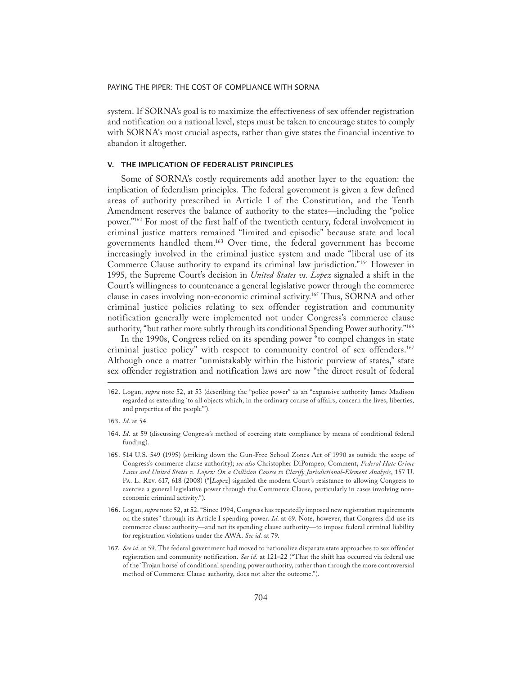system. If SORNA's goal is to maximize the effectiveness of sex offender registration and notification on a national level, steps must be taken to encourage states to comply with SORNA's most crucial aspects, rather than give states the financial incentive to abandon it altogether.

# V. THE IMPLICATION OF FEDERALIST PRINCIPLES

Some of SORNA's costly requirements add another layer to the equation: the implication of federalism principles. The federal government is given a few defined areas of authority prescribed in Article I of the Constitution, and the Tenth Amendment reserves the balance of authority to the states—including the "police power."162 For most of the first half of the twentieth century, federal involvement in criminal justice matters remained "limited and episodic" because state and local governments handled them.163 Over time, the federal government has become increasingly involved in the criminal justice system and made "liberal use of its Commerce Clause authority to expand its criminal law jurisdiction."164 However in 1995, the Supreme Court's decision in *United States vs. Lopez* signaled a shift in the Court's willingness to countenance a general legislative power through the commerce clause in cases involving non-economic criminal activity.165 Thus, SORNA and other criminal justice policies relating to sex offender registration and community notification generally were implemented not under Congress's commerce clause authority, "but rather more subtly through its conditional Spending Power authority."166

In the 1990s, Congress relied on its spending power "to compel changes in state criminal justice policy" with respect to community control of sex offenders.<sup>167</sup> Although once a matter "unmistakably within the historic purview of states," state sex offender registration and notification laws are now "the direct result of federal

<sup>162.</sup> Logan, *supra* note 52, at 53 (describing the "police power" as an "expansive authority James Madison regarded as extending 'to all objects which, in the ordinary course of affairs, concern the lives, liberties, and properties of the people'").

<sup>163.</sup> *Id.* at 54.

<sup>164.</sup> *Id.* at 59 (discussing Congress's method of coercing state compliance by means of conditional federal funding).

<sup>165.</sup> 514 U.S. 549 (1995) (striking down the Gun-Free School Zones Act of 1990 as outside the scope of Congress's commerce clause authority); *see also* Christopher DiPompeo, Comment, *Federal Hate Crime Laws and United States v. Lopez: On a Collision Course to Clarify Jurisdictional-Element Analysis*, 157 U. Pa. L. Rev. 617, 618 (2008) ("[*Lopez*] signaled the modern Court's resistance to allowing Congress to exercise a general legislative power through the Commerce Clause, particularly in cases involving noneconomic criminal activity.").

<sup>166.</sup> Logan, *supra* note 52, at 52. "Since 1994, Congress has repeatedly imposed new registration requirements on the states" through its Article I spending power. *Id.* at 69. Note, however, that Congress did use its commerce clause authority—and not its spending clause authority—to impose federal criminal liability for registration violations under the AWA. *See id.* at 79.

<sup>167.</sup> *See id.* at 59. The federal government had moved to nationalize disparate state approaches to sex offender registration and community notification. *See id.* at 121–22 ("That the shift has occurred via federal use of the 'Trojan horse' of conditional spending power authority, rather than through the more controversial method of Commerce Clause authority, does not alter the outcome.").